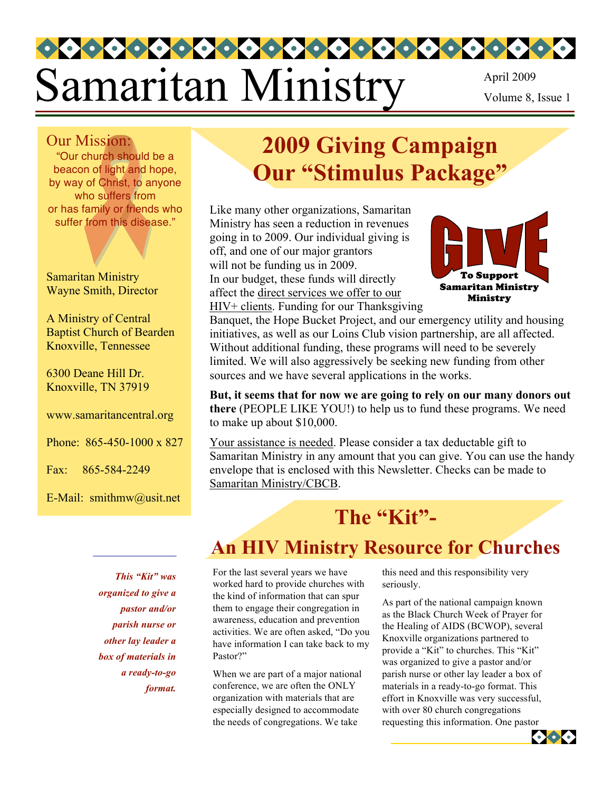# Samaritan Ministry April 2009 Volume 8, Issue 1

#### Our Mission:

"Our church should be a beacon of light and hope, by way of Christ, to anyone who suffers from or has family or friends who suffer from this disease."

Samaritan Ministry Wayne Smith, Director

A Ministry of Central Baptist Church of Bearden Knoxville, Tennessee

6300 Deane Hill Dr. Knoxville, TN 37919

www.samaritancentral.org

Phone: 865-450-1000 x 827

Fax: 865-584-2249

E-Mail: smithmw@usit.net

# **2009 Giving Campaign Our "Stimulus Package"**

Like many other organizations, Samaritan Ministry has seen a reduction in revenues going in to 2009. Our individual giving is off, and one of our major grantors will not be funding us in 2009. In our budget, these funds will directly affect the direct services we offer to our HIV+ clients. Funding for our Thanksgiving



Banquet, the Hope Bucket Project, and our emergency utility and housing initiatives, as well as our Loins Club vision partnership, are all affected. Without additional funding, these programs will need to be severely limited. We will also aggressively be seeking new funding from other sources and we have several applications in the works.

**But, it seems that for now we are going to rely on our many donors out there** (PEOPLE LIKE YOU!) to help us to fund these programs. We need to make up about \$10,000.

Your assistance is needed. Please consider a tax deductable gift to Samaritan Ministry in any amount that you can give. You can use the handy envelope that is enclosed with this Newsletter. Checks can be made to Samaritan Ministry/CBCB.

# The "Kit"-

# **An HIV Ministry Resource for Churches**

*This "Kit" was organized to give a pastor and/or parish nurse or other lay leader a box of materials in a ready-to-go format.*

For the last several years we have worked hard to provide churches with the kind of information that can spur them to engage their congregation in awareness, education and prevention activities. We are often asked, "Do you have information I can take back to my Pastor?"

When we are part of a major national conference, we are often the ONLY organization with materials that are especially designed to accommodate the needs of congregations. We take

this need and this responsibility very seriously.

As part of the national campaign known as the Black Church Week of Prayer for the Healing of AIDS (BCWOP), several Knoxville organizations partnered to provide a "Kit" to churches. This "Kit" was organized to give a pastor and/or parish nurse or other lay leader a box of materials in a ready-to-go format. This effort in Knoxville was very successful, with over 80 church congregations requesting this information. One pastor

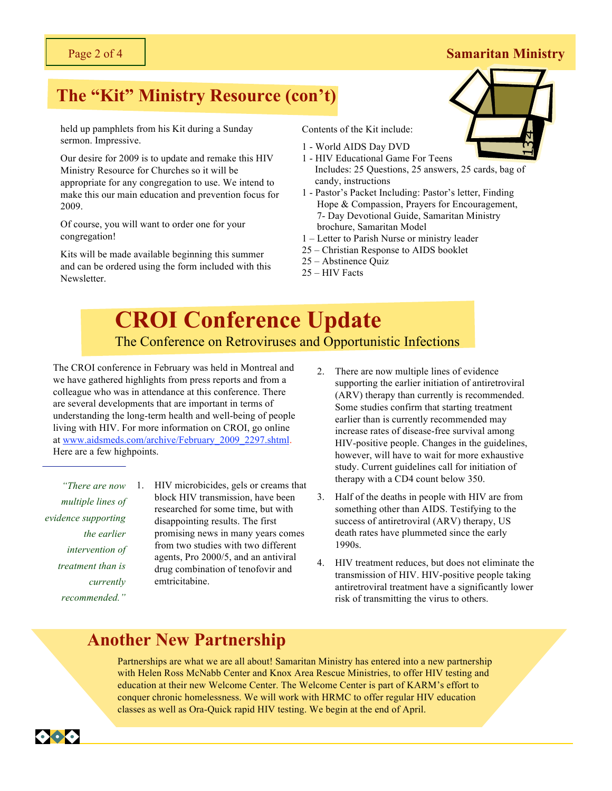# **The "Kit" Ministry Resource (con't)**

held up pamphlets from his Kit during a Sunday sermon. Impressive.

Our desire for 2009 is to update and remake this HIV Ministry Resource for Churches so it will be appropriate for any congregation to use. We intend to make this our main education and prevention focus for 2009.

Of course, you will want to order one for your congregation!

Kits will be made available beginning this summer and can be ordered using the form included with this Newsletter.

Contents of the Kit include:

- 1 World AIDS Day DVD
- 1 HIV Educational Game For Teens Includes: 25 Questions, 25 answers, 25 cards, bag of candy, instructions
- 1 Pastor's Packet Including: Pastor's letter, Finding Hope & Compassion, Prayers for Encouragement, 7- Day Devotional Guide, Samaritan Ministry brochure, Samaritan Model
- 1 Letter to Parish Nurse or ministry leader
- 25 Christian Response to AIDS booklet
- 25 Abstinence Quiz
- 25 HIV Facts

#### **CROI Conference Update** federal aid than in the rest of the country and  $\frac{1}{200}$ The Conference on Retroviruses and Opportunistic Infections

The CROI conference in February was held in Montreal and  $\frac{2}{2}$ we have gathered highlights from press reports and from a colleague who was in attendance at this conference. There are several developments that are important in terms of understanding the long-term health and well-being of people living with HIV. For more information on CROI, go online at www.aidsmeds.com/archive/February\_2009\_2297.shtml. Here are a few highpoints.

*"There are now multiple lines of evidence supporting the earlier intervention of treatment than is currently recommended."*

- 1. HIV microbicides, gels or creams that block HIV transmission, have been researched for some time, but with disappointing results. The first promising news in many years comes from two studies with two different agents, Pro 2000/5, and an antiviral drug combination of tenofovir and emtricitabine.
- There are now multiple lines of evidence supporting the earlier initiation of antiretroviral (ARV) therapy than currently is recommended. Some studies confirm that starting treatment earlier than is currently recommended may increase rates of disease-free survival among HIV-positive people. Changes in the guidelines, however, will have to wait for more exhaustive study. Current guidelines call for initiation of therapy with a CD4 count below 350.
- 3. Half of the deaths in people with HIV are from something other than AIDS. Testifying to the success of antiretroviral (ARV) therapy, US death rates have plummeted since the early 1990s.
- 4. HIV treatment reduces, but does not eliminate the transmission of HIV. HIV-positive people taking antiretroviral treatment have a significantly lower risk of transmitting the virus to others.

# **Another New Partnership**

Partnerships are what we are all about! Samaritan Ministry has entered into a new partnership with Helen Ross McNabb Center and Knox Area Rescue Ministries, to offer HIV testing and education at their new Welcome Center. The Welcome Center is part of KARM's effort to conquer chronic homelessness. We will work with HRMC to offer regular HIV education classes as well as Ora-Quick rapid HIV testing. We begin at the end of April.



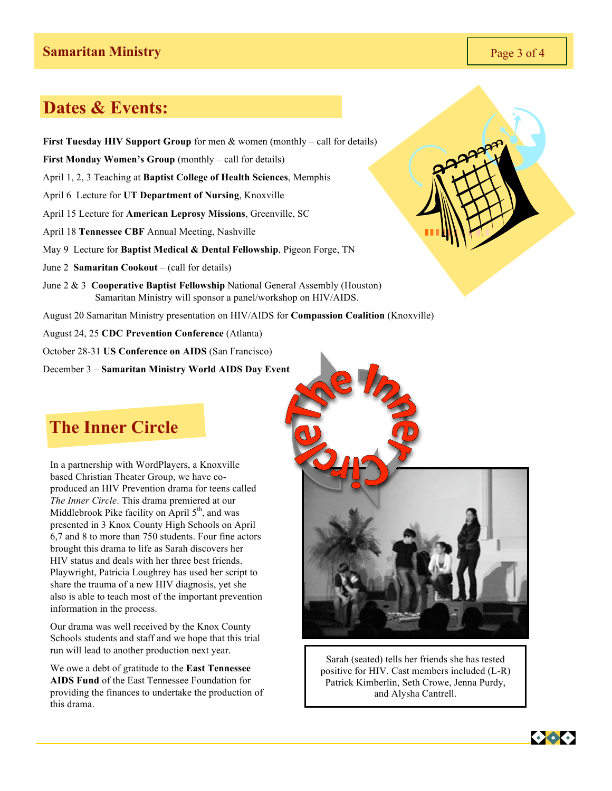### **Dates & Events:**

**First Tuesday HIV Support Group** for men & women (monthly – call for details) **First Monday Women's Group** (monthly – call for details) April 1, 2, 3 Teaching at **Baptist College of Health Sciences**, Memphis April 6 Lecture for **UT Department of Nursing**, Knoxville April 15 Lecture for **American Leprosy Missions**, Greenville, SC April 18 **Tennessee CBF** Annual Meeting, Nashville May 9 Lecture for **Baptist Medical & Dental Fellowship**, Pigeon Forge, TN June 2 **Samaritan Cookout** – (call for details) June 2 & 3 **Cooperative Baptist Fellowship** National General Assembly (Houston) Samaritan Ministry will sponsor a panel/workshop on HIV/AIDS. August 20 Samaritan Ministry presentation on HIV/AIDS for **Compassion Coalition** (Knoxville) August 24, 25 **CDC Prevention Conference** (Atlanta) October 28-31 **US Conference on AIDS** (San Francisco)

December 3 – **Samaritan Ministry World AIDS Day Event** 

## **The Inner Circle**

In a partnership with WordPlayers, a Knoxville based Christian Theater Group, we have coproduced an HIV Prevention drama for teens called *The Inner Circle*. This drama premiered at our Middlebrook Pike facility on April  $5<sup>th</sup>$ , and was presented in 3 Knox County High Schools on April 6,7 and 8 to more than 750 students. Four fine actors brought this drama to life as Sarah discovers her HIV status and deals with her three best friends. Playwright, Patricia Loughrey has used her script to share the trauma of a new HIV diagnosis, yet she also is able to teach most of the important prevention information in the process.

Our drama was well received by the Knox County Schools students and staff and we hope that this trial run will lead to another production next year.

We owe a debt of gratitude to the **East Tennessee AIDS Fund** of the East Tennessee Foundation for providing the finances to undertake the production of this drama.



 $299$ 



Sarah (seated) tells her friends she has tested positive for HIV. Cast members included (L-R) Patrick Kimberlin, Seth Crowe, Jenna Purdy, and Alysha Cantrell.